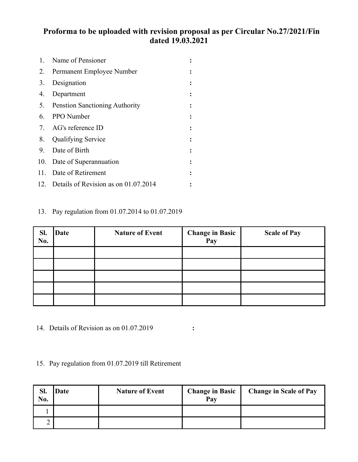## **Proforma to be uploaded with revision proposal as per Circular No.27/2021/Fin dated 19.03.2021**

|    | 1. Name of Pensioner                     |  |
|----|------------------------------------------|--|
|    | 2. Permanent Employee Number             |  |
| 3. | Designation                              |  |
| 4. | Department                               |  |
|    | 5. Penstion Sanctioning Authority        |  |
|    | 6. PPO Number                            |  |
|    | 7. AG's reference ID                     |  |
|    | 8. Qualifying Service                    |  |
|    | 9. Date of Birth                         |  |
|    | 10. Date of Superannuation               |  |
|    | 11. Date of Retirement                   |  |
|    | 12. Details of Revision as on 01.07.2014 |  |

## 13. Pay regulation from 01.07.2014 to 01.07.2019

| Sl.<br>No. | Date | <b>Nature of Event</b> | <b>Change in Basic<br/>Pay</b> | <b>Scale of Pay</b> |
|------------|------|------------------------|--------------------------------|---------------------|
|            |      |                        |                                |                     |
|            |      |                        |                                |                     |
|            |      |                        |                                |                     |
|            |      |                        |                                |                     |
|            |      |                        |                                |                     |

14. Details of Revision as on 01.07.2019 **:**

## 15. Pay regulation from 01.07.2019 till Retirement

| SI.<br>No. | Date | <b>Nature of Event</b> | <b>Change in Basic</b><br>Pay | <b>Change in Scale of Pay</b> |
|------------|------|------------------------|-------------------------------|-------------------------------|
|            |      |                        |                               |                               |
| ∸          |      |                        |                               |                               |